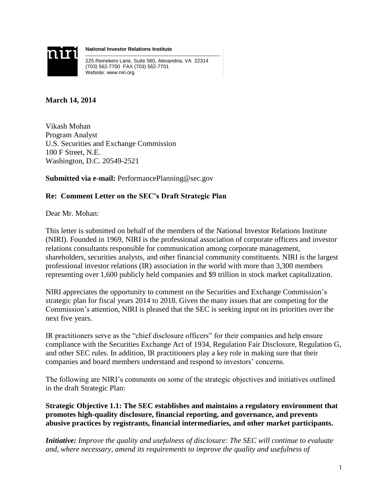

**National Investor Relations Institute**

225 Reinekers Lane, Suite 560, Alexandria, VA 22314 (703) 562-7700 FAX (703) 562-7701 Website: www.niri.org

**March 14, 2014**

Vikash Mohan Program Analyst U.S. Securities and Exchange Commission 100 F Street, N.E. Washington, D.C. 20549-2521

**Submitted via e-mail:** PerformancePlanning@sec.gov

## **Re: Comment Letter on the SEC's Draft Strategic Plan**

Dear Mr. Mohan:

This letter is submitted on behalf of the members of the National Investor Relations Institute (NIRI). Founded in 1969, NIRI is the professional association of corporate officers and investor relations consultants responsible for communication among corporate management, shareholders, securities analysts, and other financial community constituents. NIRI is the largest professional investor relations (IR) association in the world with more than 3,300 members representing over 1,600 publicly held companies and \$9 trillion in stock market capitalization.

NIRI appreciates the opportunity to comment on the Securities and Exchange Commission's strategic plan for fiscal years 2014 to 2018. Given the many issues that are competing for the Commission's attention, NIRI is pleased that the SEC is seeking input on its priorities over the next five years.

IR practitioners serve as the "chief disclosure officers" for their companies and help ensure compliance with the Securities Exchange Act of 1934, Regulation Fair Disclosure, Regulation G, and other SEC rules. In addition, IR practitioners play a key role in making sure that their companies and board members understand and respond to investors' concerns.

The following are NIRI's comments on some of the strategic objectives and initiatives outlined in the draft Strategic Plan:

**Strategic Objective 1.1: The SEC establishes and maintains a regulatory environment that promotes high-quality disclosure, financial reporting, and governance, and prevents abusive practices by registrants, financial intermediaries, and other market participants.**

*Initiative: Improve the quality and usefulness of disclosure: The SEC will continue to evaluate and, where necessary, amend its requirements to improve the quality and usefulness of*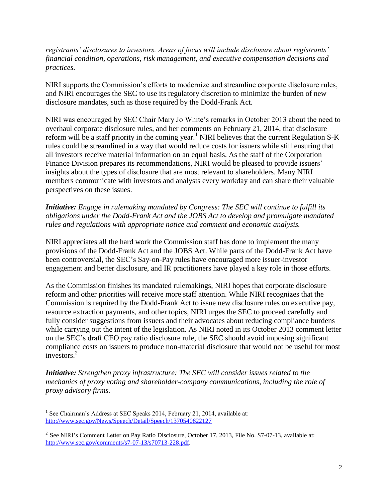*registrants' disclosures to investors. Areas of focus will include disclosure about registrants' financial condition, operations, risk management, and executive compensation decisions and practices.* 

NIRI supports the Commission's efforts to modernize and streamline corporate disclosure rules, and NIRI encourages the SEC to use its regulatory discretion to minimize the burden of new disclosure mandates, such as those required by the Dodd-Frank Act.

NIRI was encouraged by SEC Chair Mary Jo White's remarks in October 2013 about the need to overhaul corporate disclosure rules, and her comments on February 21, 2014, that disclosure reform will be a staff priority in the coming year.<sup>1</sup> NIRI believes that the current Regulation S-K rules could be streamlined in a way that would reduce costs for issuers while still ensuring that all investors receive material information on an equal basis. As the staff of the Corporation Finance Division prepares its recommendations, NIRI would be pleased to provide issuers' insights about the types of disclosure that are most relevant to shareholders. Many NIRI members communicate with investors and analysts every workday and can share their valuable perspectives on these issues.

## *Initiative: Engage in rulemaking mandated by Congress: The SEC will continue to fulfill its obligations under the Dodd-Frank Act and the JOBS Act to develop and promulgate mandated rules and regulations with appropriate notice and comment and economic analysis.*

NIRI appreciates all the hard work the Commission staff has done to implement the many provisions of the Dodd-Frank Act and the JOBS Act. While parts of the Dodd-Frank Act have been controversial, the SEC's Say-on-Pay rules have encouraged more issuer-investor engagement and better disclosure, and IR practitioners have played a key role in those efforts.

As the Commission finishes its mandated rulemakings, NIRI hopes that corporate disclosure reform and other priorities will receive more staff attention. While NIRI recognizes that the Commission is required by the Dodd-Frank Act to issue new disclosure rules on executive pay, resource extraction payments, and other topics, NIRI urges the SEC to proceed carefully and fully consider suggestions from issuers and their advocates about reducing compliance burdens while carrying out the intent of the legislation. As NIRI noted in its October 2013 comment letter on the SEC's draft CEO pay ratio disclosure rule, the SEC should avoid imposing significant compliance costs on issuers to produce non-material disclosure that would not be useful for most investors.<sup>2</sup>

*Initiative: Strengthen proxy infrastructure: The SEC will consider issues related to the mechanics of proxy voting and shareholder-company communications, including the role of proxy advisory firms.*

 $\overline{a}$ <sup>1</sup> See Chairman's Address at SEC Speaks 2014, February 21, 2014, available at: <http://www.sec.gov/News/Speech/Detail/Speech/1370540822127>

<sup>&</sup>lt;sup>2</sup> See NIRI's Comment Letter on Pay Ratio Disclosure, October 17, 2013, File No. S7-07-13, available at: [http://www.sec.gov/comments/s7-07-13/s70713-228.pdf.](http://www.sec.gov/comments/s7-07-13/s70713-228.pdf)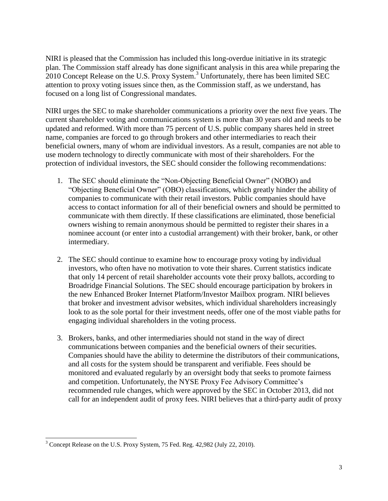NIRI is pleased that the Commission has included this long-overdue initiative in its strategic plan. The Commission staff already has done significant analysis in this area while preparing the 2010 Concept Release on the U.S. Proxy System.<sup>3</sup> Unfortunately, there has been limited SEC attention to proxy voting issues since then, as the Commission staff, as we understand, has focused on a long list of Congressional mandates.

NIRI urges the SEC to make shareholder communications a priority over the next five years. The current shareholder voting and communications system is more than 30 years old and needs to be updated and reformed. With more than 75 percent of U.S. public company shares held in street name, companies are forced to go through brokers and other intermediaries to reach their beneficial owners, many of whom are individual investors. As a result, companies are not able to use modern technology to directly communicate with most of their shareholders. For the protection of individual investors, the SEC should consider the following recommendations:

- 1. The SEC should eliminate the "Non-Objecting Beneficial Owner" (NOBO) and "Objecting Beneficial Owner" (OBO) classifications, which greatly hinder the ability of companies to communicate with their retail investors. Public companies should have access to contact information for all of their beneficial owners and should be permitted to communicate with them directly. If these classifications are eliminated, those beneficial owners wishing to remain anonymous should be permitted to register their shares in a nominee account (or enter into a custodial arrangement) with their broker, bank, or other intermediary.
- 2. The SEC should continue to examine how to encourage proxy voting by individual investors, who often have no motivation to vote their shares. Current statistics indicate that only 14 percent of retail shareholder accounts vote their proxy ballots, according to Broadridge Financial Solutions. The SEC should encourage participation by brokers in the new Enhanced Broker Internet Platform/Investor Mailbox program. NIRI believes that broker and investment advisor websites, which individual shareholders increasingly look to as the sole portal for their investment needs, offer one of the most viable paths for engaging individual shareholders in the voting process.
- 3. Brokers, banks, and other intermediaries should not stand in the way of direct communications between companies and the beneficial owners of their securities. Companies should have the ability to determine the distributors of their communications, and all costs for the system should be transparent and verifiable. Fees should be monitored and evaluated regularly by an oversight body that seeks to promote fairness and competition. Unfortunately, the NYSE Proxy Fee Advisory Committee's recommended rule changes, which were approved by the SEC in October 2013, did not call for an independent audit of proxy fees. NIRI believes that a third-party audit of proxy

 $\overline{a}$  $3$  Concept Release on the U.S. Proxy System, 75 Fed. Reg. 42,982 (July 22, 2010).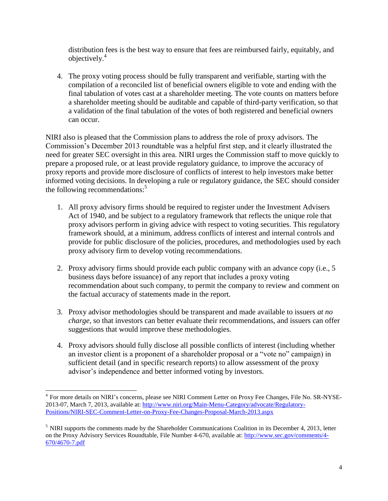distribution fees is the best way to ensure that fees are reimbursed fairly, equitably, and objectively. 4

4. The proxy voting process should be fully transparent and verifiable, starting with the compilation of a reconciled list of beneficial owners eligible to vote and ending with the final tabulation of votes cast at a shareholder meeting. The vote counts on matters before a shareholder meeting should be auditable and capable of third-party verification, so that a validation of the final tabulation of the votes of both registered and beneficial owners can occur.

NIRI also is pleased that the Commission plans to address the role of proxy advisors. The Commission's December 2013 roundtable was a helpful first step, and it clearly illustrated the need for greater SEC oversight in this area. NIRI urges the Commission staff to move quickly to prepare a proposed rule, or at least provide regulatory guidance, to improve the accuracy of proxy reports and provide more disclosure of conflicts of interest to help investors make better informed voting decisions. In developing a rule or regulatory guidance, the SEC should consider the following recommendations:<sup>5</sup>

- 1. All proxy advisory firms should be required to register under the Investment Advisers Act of 1940, and be subject to a regulatory framework that reflects the unique role that proxy advisors perform in giving advice with respect to voting securities. This regulatory framework should, at a minimum, address conflicts of interest and internal controls and provide for public disclosure of the policies, procedures, and methodologies used by each proxy advisory firm to develop voting recommendations.
- 2. Proxy advisory firms should provide each public company with an advance copy (i.e., 5 business days before issuance) of any report that includes a proxy voting recommendation about such company, to permit the company to review and comment on the factual accuracy of statements made in the report.
- 3. Proxy advisor methodologies should be transparent and made available to issuers *at no charge*, so that investors can better evaluate their recommendations, and issuers can offer suggestions that would improve these methodologies.
- 4. Proxy advisors should fully disclose all possible conflicts of interest (including whether an investor client is a proponent of a shareholder proposal or a "vote no" campaign) in sufficient detail (and in specific research reports) to allow assessment of the proxy advisor's independence and better informed voting by investors.

l

<sup>&</sup>lt;sup>4</sup> For more details on NIRI's concerns, please see NIRI Comment Letter on Proxy Fee Changes, File No. SR-NYSE-2013-07, March 7, 2013, available at: [http://www.niri.org/Main-Menu-Category/advocate/Regulatory-](http://www.niri.org/Main-Menu-Category/advocate/Regulatory-Positions/NIRI-SEC-Comment-Letter-on-Proxy-Fee-Changes-Proposal-March-2013.aspx)[Positions/NIRI-SEC-Comment-Letter-on-Proxy-Fee-Changes-Proposal-March-2013.aspx](http://www.niri.org/Main-Menu-Category/advocate/Regulatory-Positions/NIRI-SEC-Comment-Letter-on-Proxy-Fee-Changes-Proposal-March-2013.aspx)

<sup>&</sup>lt;sup>5</sup> NIRI supports the comments made by the Shareholder Communications Coalition in its December 4, 2013, letter on the Proxy Advisory Services Roundtable, File Number 4-670, available at: [http://www.sec.gov/comments/4-](http://www.sec.gov/comments/4-670/4670-7.pdf) [670/4670-7.pdf](http://www.sec.gov/comments/4-670/4670-7.pdf)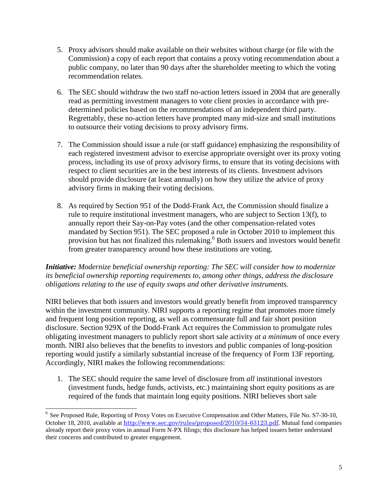- 5. Proxy advisors should make available on their websites without charge (or file with the Commission) a copy of each report that contains a proxy voting recommendation about a public company, no later than 90 days after the shareholder meeting to which the voting recommendation relates.
- 6. The SEC should withdraw the two staff no-action letters issued in 2004 that are generally read as permitting investment managers to vote client proxies in accordance with predetermined policies based on the recommendations of an independent third party. Regrettably, these no-action letters have prompted many mid-size and small institutions to outsource their voting decisions to proxy advisory firms.
- 7. The Commission should issue a rule (or staff guidance) emphasizing the responsibility of each registered investment advisor to exercise appropriate oversight over its proxy voting process, including its use of proxy advisory firms, to ensure that its voting decisions with respect to client securities are in the best interests of its clients. Investment advisors should provide disclosure (at least annually) on how they utilize the advice of proxy advisory firms in making their voting decisions.
- 8. As required by Section 951 of the Dodd-Frank Act, the Commission should finalize a rule to require institutional investment managers, who are subject to Section 13(f), to annually report their Say-on-Pay votes (and the other compensation-related votes mandated by Section 951). The SEC proposed a rule in October 2010 to implement this provision but has not finalized this rulemaking.<sup>6</sup> Both issuers and investors would benefit from greater transparency around how these institutions are voting.

## *Initiative: Modernize beneficial ownership reporting: The SEC will consider how to modernize its beneficial ownership reporting requirements to, among other things, address the disclosure obligations relating to the use of equity swaps and other derivative instruments.*

NIRI believes that both issuers and investors would greatly benefit from improved transparency within the investment community. NIRI supports a reporting regime that promotes more timely and frequent long position reporting, as well as commensurate full and fair short position disclosure. Section 929X of the Dodd-Frank Act requires the Commission to promulgate rules obligating investment managers to publicly report short sale activity *at a minimum* of once every month. NIRI also believes that the benefits to investors and public companies of long-position reporting would justify a similarly substantial increase of the frequency of Form 13F reporting. Accordingly, NIRI makes the following recommendations:

1. The SEC should require the same level of disclosure from *all* institutional investors (investment funds, hedge funds, activists, etc.) maintaining short equity positions as are required of the funds that maintain long equity positions. NIRI believes short sale

<sup>&</sup>lt;sup>6</sup> See Proposed Rule, Reporting of Proxy Votes on Executive Compensation and Other Matters, File No. S7-30-10, October 18, 2010, available at <http://www.sec.gov/rules/proposed/2010/34-63123.pdf>. Mutual fund companies already report their proxy votes in annual Form N-PX filings; this disclosure has helped issuers better understand their concerns and contributed to greater engagement.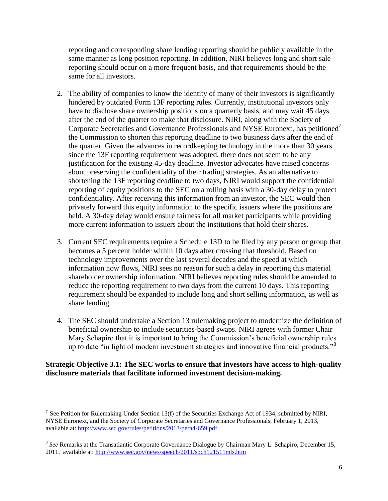reporting and corresponding share lending reporting should be publicly available in the same manner as long position reporting. In addition, NIRI believes long and short sale reporting should occur on a more frequent basis, and that requirements should be the same for all investors.

- 2. The ability of companies to know the identity of many of their investors is significantly hindered by outdated Form 13F reporting rules. Currently, institutional investors only have to disclose share ownership positions on a quarterly basis, and may wait 45 days after the end of the quarter to make that disclosure. NIRI, along with the Society of Corporate Secretaries and Governance Professionals and NYSE Euronext, has petitioned<sup>7</sup> the Commission to shorten this reporting deadline to two business days after the end of the quarter. Given the advances in recordkeeping technology in the more than 30 years since the 13F reporting requirement was adopted, there does not seem to be any justification for the existing 45-day deadline. Investor advocates have raised concerns about preserving the confidentiality of their trading strategies. As an alternative to shortening the 13F reporting deadline to two days, NIRI would support the confidential reporting of equity positions to the SEC on a rolling basis with a 30-day delay to protect confidentiality. After receiving this information from an investor, the SEC would then privately forward this equity information to the specific issuers where the positions are held. A 30-day delay would ensure fairness for all market participants while providing more current information to issuers about the institutions that hold their shares.
- 3. Current SEC requirements require a Schedule 13D to be filed by any person or group that becomes a 5 percent holder within 10 days after crossing that threshold. Based on technology improvements over the last several decades and the speed at which information now flows, NIRI sees no reason for such a delay in reporting this material shareholder ownership information. NIRI believes reporting rules should be amended to reduce the reporting requirement to two days from the current 10 days. This reporting requirement should be expanded to include long and short selling information, as well as share lending.
- 4. The SEC should undertake a Section 13 rulemaking project to modernize the definition of beneficial ownership to include securities-based swaps. NIRI agrees with former Chair Mary Schapiro that it is important to bring the Commission's beneficial ownership rules up to date "in light of modern investment strategies and innovative financial products."<sup>8</sup>

## **Strategic Objective 3.1: The SEC works to ensure that investors have access to high-quality disclosure materials that facilitate informed investment decision-making.**

 $\overline{a}$ 

<sup>7</sup> See Petition for Rulemaking Under Section 13(f) of the Securities Exchange Act of 1934, submitted by NIRI, NYSE Euronext, and the Society of Corporate Secretaries and Governance Professionals, February 1, 2013, available at:<http://www.sec.gov/rules/petitions/2013/petn4-659.pdf>

<sup>&</sup>lt;sup>8</sup> See Remarks at the Transatlantic Corporate Governance Dialogue by Chairman Mary L. Schapiro, December 15, 2011, available at[: http://www.sec.gov/news/speech/2011/spch121511mls.htm](http://www.sec.gov/news/speech/2011/spch121511mls.htm)